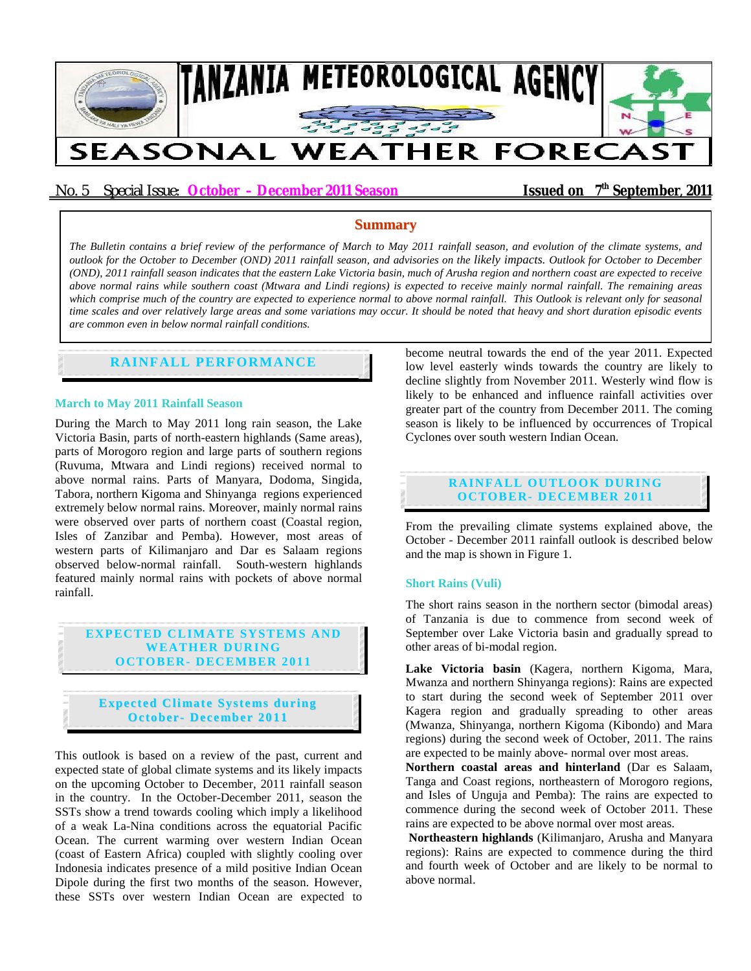

# No. 5 Special Issue: October – December 2011 Season **Issued on 7<sup>th</sup> September**, 2011

## **Summary**

*The Bulletin contains a brief review of the performance of March to May 2011 rainfall season, and evolution of the climate systems, and outlook for the October to December (OND) 2011 rainfall season, and advisories on the likely impacts. Outlook for October to December (OND), 2011 rainfall season indicates that the eastern Lake Victoria basin, much of Arusha region and northern coast are expected to receive above normal rains while southern coast (Mtwara and Lindi regions) is expected to receive mainly normal rainfall. The remaining areas*  which comprise much of the country are expected to experience normal to above normal rainfall. This Outlook is relevant only for seasonal *time scales and over relatively large areas and some variations may occur. It should be noted that heavy and short duration episodic events are common even in below normal rainfall conditions.* 

# **RAINFALL PERFORMANCE**

# **March to May 2011 Rainfall Season**

During the March to May 2011 long rain season, the Lake Victoria Basin, parts of north-eastern highlands (Same areas), parts of Morogoro region and large parts of southern regions (Ruvuma, Mtwara and Lindi regions) received normal to above normal rains. Parts of Manyara, Dodoma, Singida, Tabora, northern Kigoma and Shinyanga regions experienced extremely below normal rains. Moreover, mainly normal rains were observed over parts of northern coast (Coastal region, Isles of Zanzibar and Pemba). However, most areas of western parts of Kilimanjaro and Dar es Salaam regions observed below-normal rainfall. South-western highlands featured mainly normal rains with pockets of above normal rainfall.

# **EXPECTED CLIMATE SYSTEMS AND WEATHER DURING OCTOBER- DECEMBER 2011**

**Expected Climate Systems during Oct ober- December 20 11**

This outlook is based on a review of the past, current and expected state of global climate systems and its likely impacts on the upcoming October to December, 2011 rainfall season in the country. In the October-December 2011, season the SSTs show a trend towards cooling which imply a likelihood of a weak La-Nina conditions across the equatorial Pacific Ocean. The current warming over western Indian Ocean (coast of Eastern Africa) coupled with slightly cooling over Indonesia indicates presence of a mild positive Indian Ocean Dipole during the first two months of the season. However, these SSTs over western Indian Ocean are expected to

become neutral towards the end of the year 2011. Expected low level easterly winds towards the country are likely to decline slightly from November 2011. Westerly wind flow is likely to be enhanced and influence rainfall activities over greater part of the country from December 2011. The coming season is likely to be influenced by occurrences of Tropical Cyclones over south western Indian Ocean.

# **RAINFALL OUTLOOK DURING OCTOBER- DECEMBER 2011**

From the prevailing climate systems explained above, the October - December 2011 rainfall outlook is described below and the map is shown in Figure 1.

## **Short Rains (Vuli)**

The short rains season in the northern sector (bimodal areas) of Tanzania is due to commence from second week of September over Lake Victoria basin and gradually spread to other areas of bi-modal region.

**Lake Victoria basin** (Kagera, northern Kigoma, Mara, Mwanza and northern Shinyanga regions): Rains are expected to start during the second week of September 2011 over Kagera region and gradually spreading to other areas (Mwanza, Shinyanga, northern Kigoma (Kibondo) and Mara regions) during the second week of October, 2011. The rains are expected to be mainly above- normal over most areas.

**Northern coastal areas and hinterland** (Dar es Salaam, Tanga and Coast regions, northeastern of Morogoro regions, and Isles of Unguja and Pemba): The rains are expected to commence during the second week of October 2011. These rains are expected to be above normal over most areas.

**Northeastern highlands** (Kilimanjaro, Arusha and Manyara regions): Rains are expected to commence during the third and fourth week of October and are likely to be normal to above normal.